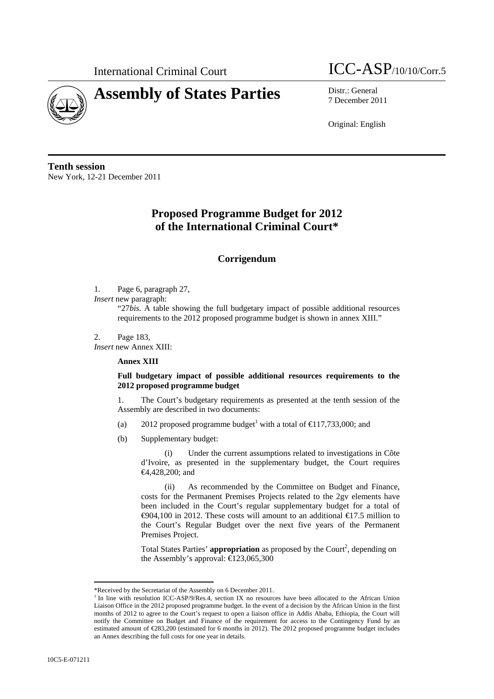

# **Assembly of States Parties** Distr.: General



7 December 2011

Original: English

**Tenth session**  New York, 12-21 December 2011

# **Proposed Programme Budget for 2012 of the International Criminal Court\***

# **Corrigendum**

1. Page 6, paragraph 27,

*Insert* new paragraph:

"27*bis.* A table showing the full budgetary impact of possible additional resources requirements to the 2012 proposed programme budget is shown in annex XIII."

2. Page 183,

*Insert* new Annex XIII:

### **Annex XIII**

### **Full budgetary impact of possible additional resources requirements to the 2012 proposed programme budget**

1. The Court's budgetary requirements as presented at the tenth session of the Assembly are described in two documents:

- (a) 2012 proposed programme budget<sup>1</sup> with a total of  $\bigoplus$  17,733,000; and
- (b) Supplementary budget:

(i) Under the current assumptions related to investigations in Côte d'Ivoire, as presented in the supplementary budget, the Court requires €4,428,200; and

(ii) As recommended by the Committee on Budget and Finance, costs for the Permanent Premises Projects related to the 2gv elements have been included in the Court's regular supplementary budget for a total of  $\bigoplus$ 04,100 in 2012. These costs will amount to an additional  $\bigoplus$ 7.5 million to the Court's Regular Budget over the next five years of the Permanent Premises Project.

Total States Parties' **appropriation** as proposed by the Court<sup>2</sup>, depending on the Assembly's approval:  $\text{E}123,065,300$ 

 $\overline{a}$ \*Received by the Secretariat of the Assembly on 6 December 2011.

<sup>&</sup>lt;sup>1</sup> In line with resolution ICC-ASP/9/Res.4, section IX no resources have been allocated to the African Union Liaison Office in the 2012 proposed programme budget. In the event of a decision by the African Union in the first months of 2012 to agree to the Court's request to open a liaison office in Addis Ababa, Ethiopia, the Court will notify the Committee on Budget and Finance of the requirement for access to the Contingency Fund by an estimated amount of €283,200 (estimated for 6 months in 2012). The 2012 proposed programme budget includes an Annex describing the full costs for one year in details.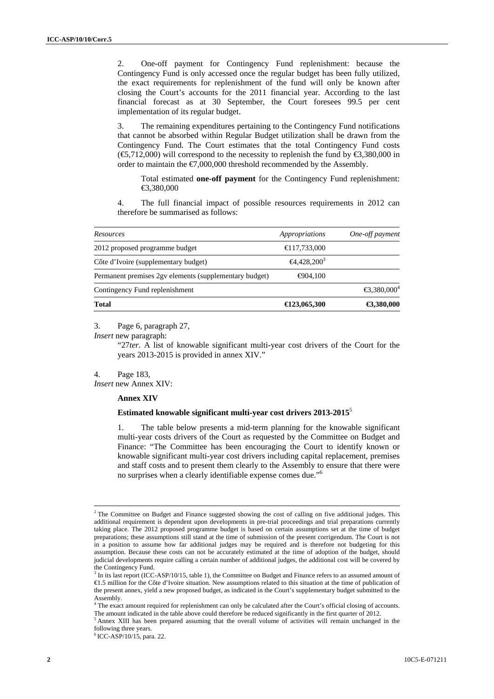2. One-off payment for Contingency Fund replenishment: because the Contingency Fund is only accessed once the regular budget has been fully utilized, the exact requirements for replenishment of the fund will only be known after closing the Court's accounts for the 2011 financial year. According to the last financial forecast as at 30 September, the Court foresees 99.5 per cent implementation of its regular budget.

3. The remaining expenditures pertaining to the Contingency Fund notifications that cannot be absorbed within Regular Budget utilization shall be drawn from the Contingency Fund. The Court estimates that the total Contingency Fund costs  $(\mathfrak{S},712,000)$  will correspond to the necessity to replenish the fund by  $\mathfrak{S},380,000$  in order to maintain the  $\epsilon$ 7,000,000 threshold recommended by the Assembly.

Total estimated **one-off payment** for the Contingency Fund replenishment: €3,380,000

4. The full financial impact of possible resources requirements in 2012 can therefore be summarised as follows:

| Resources                                              | Appropriations         | One-off payment         |
|--------------------------------------------------------|------------------------|-------------------------|
| 2012 proposed programme budget                         | $\bigoplus$ 17,733,000 |                         |
| Côte d'Ivoire (supplementary budget)                   | $\text{64,}428,200^3$  |                         |
| Permanent premises 2gv elements (supplementary budget) | €904,100               |                         |
| Contingency Fund replenishment                         |                        | €3,380,000 <sup>4</sup> |
| <b>Total</b>                                           | $\bigoplus$ 23,065,300 | €3,380,000              |

3. Page 6, paragraph 27,

*Insert* new paragraph:

"27*ter.* A list of knowable significant multi-year cost drivers of the Court for the years 2013-2015 is provided in annex XIV."

#### 4. Page 183,

 $\overline{a}$ 

*Insert* new Annex XIV:

#### **Annex XIV**

#### **Estimated knowable significant multi-year cost drivers 2013-2015**<sup>5</sup>

1. The table below presents a mid-term planning for the knowable significant multi-year costs drivers of the Court as requested by the Committee on Budget and Finance: "The Committee has been encouraging the Court to identify known or knowable significant multi-year cost drivers including capital replacement, premises and staff costs and to present them clearly to the Assembly to ensure that there were no surprises when a clearly identifiable expense comes due."6

<sup>&</sup>lt;sup>2</sup> The Committee on Budget and Finance suggested showing the cost of calling on five additional judges. This additional requirement is dependent upon developments in pre-trial proceedings and trial preparations currently taking place. The 2012 proposed programme budget is based on certain assumptions set at the time of budget preparations; these assumptions still stand at the time of submission of the present corrigendum. The Court is not in a position to assume how far additional judges may be required and is therefore not budgeting for this assumption. Because these costs can not be accurately estimated at the time of adoption of the budget, should judicial developments require calling a certain number of additional judges, the additional cost will be covered by the Contingency Fund.

<sup>&</sup>lt;sup>3</sup> In its last report (ICC-ASP/10/15, table 1), the Committee on Budget and Finance refers to an assumed amount of €1.5 million for the Côte d'Ivoire situation. New assumptions related to this situation at the time of publication of the present annex, yield a new proposed budget, as indicated in the Court's supplementary budget submitted to the Assembly. 4 The exact amount required for replenishment can only be calculated after the Court's official closing of accounts.

The amount indicated in the table above could therefore be reduced significantly in the first quarter of 2012.<br> $5$  Annex XIII has been prepared assuming that the overall volume of activities will remain unchanged in the

following three years.

 $6$  ICC-ASP/10/15, para. 22.